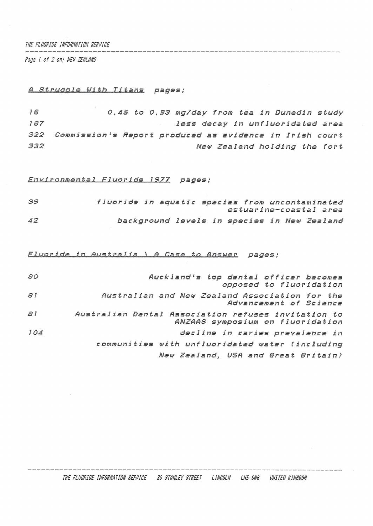## *THE FLUORIDE INFORMATION SERVICE*

*Psge I of 2 on; NEU ZEALAND*

## *<sup>A</sup> Struggle Uith Titans pages ;*

 *0.45 to 0,93 mg/day from tea in Dunedin study less decay in unfluoridated area Commission's Report produced as evidence in Irish court New Zealand holding the fort*

 $\sim$   $\lambda$ 

*Envi ronmental\_\_Fluoride 1977 pages ;*

| 39 | fluoride in aquatic species from uncontaminated |  |  |  |                                             |
|----|-------------------------------------------------|--|--|--|---------------------------------------------|
|    |                                                 |  |  |  | estuarine-coastal area                      |
| 42 |                                                 |  |  |  | background levels in species in New Zealand |

*Fluoride in Australia\_\_\ fl Case to Answer pages ;*

| 80  | Auckland's top dental officer becomes<br>opposed to fluoridation                        |
|-----|-----------------------------------------------------------------------------------------|
| 81  | Australian and New Zealand Association for the<br>Advancement of Science                |
| 51  | Australian Dental Association refuses invitation to<br>ANZAAS symposium on fluoridation |
| 104 | decline in caries prevalence in                                                         |
|     | communities with unfluoridated water (including                                         |
|     | New Zealand, USA and Great Britain)                                                     |